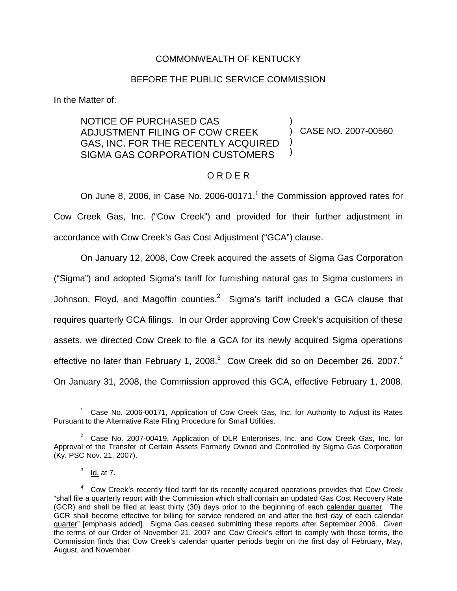### COMMONWEALTH OF KENTUCKY

### BEFORE THE PUBLIC SERVICE COMMISSION

In the Matter of:

#### NOTICE OF PURCHASED CAS ADJUSTMENT FILING OF COW CREEK GAS, INC. FOR THE RECENTLY ACQUIRED SIGMA GAS CORPORATION CUSTOMERS ) ) CASE NO. 2007-00560 ) )

# O R D E R

On June 8, 2006, in Case No. 2006-00171, $1$  the Commission approved rates for Cow Creek Gas, Inc. ("Cow Creek") and provided for their further adjustment in accordance with Cow Creek's Gas Cost Adjustment ("GCA") clause.

On January 12, 2008, Cow Creek acquired the assets of Sigma Gas Corporation ("Sigma") and adopted Sigma's tariff for furnishing natural gas to Sigma customers in Johnson, Floyd, and Magoffin counties.<sup>2</sup> Sigma's tariff included a GCA clause that requires quarterly GCA filings. In our Order approving Cow Creek's acquisition of these assets, we directed Cow Creek to file a GCA for its newly acquired Sigma operations effective no later than February 1, 2008. $3$  Cow Creek did so on December 26, 2007. $4$ On January 31, 2008, the Commission approved this GCA, effective February 1, 2008.

 $1$  Case No. 2006-00171, Application of Cow Creek Gas, Inc. for Authority to Adjust its Rates Pursuant to the Alternative Rate Filing Procedure for Small Utilities.

 $2^2$  Case No. 2007-00419, Application of DLR Enterprises, Inc. and Cow Creek Gas, Inc. for Approval of the Transfer of Certain Assets Formerly Owned and Controlled by Sigma Gas Corporation (Ky. PSC Nov. 21, 2007).

 $3$  Id. at 7.

 $4$  Cow Creek's recently filed tariff for its recently acquired operations provides that Cow Creek "shall file a quarterly report with the Commission which shall contain an updated Gas Cost Recovery Rate (GCR) and shall be filed at least thirty (30) days prior to the beginning of each calendar quarter. The GCR shall become effective for billing for service rendered on and after the first day of each calendar quarter" [emphasis added]. Sigma Gas ceased submitting these reports after September 2006. Given the terms of our Order of November 21, 2007 and Cow Creek's effort to comply with those terms, the Commission finds that Cow Creek's calendar quarter periods begin on the first day of February, May, August, and November.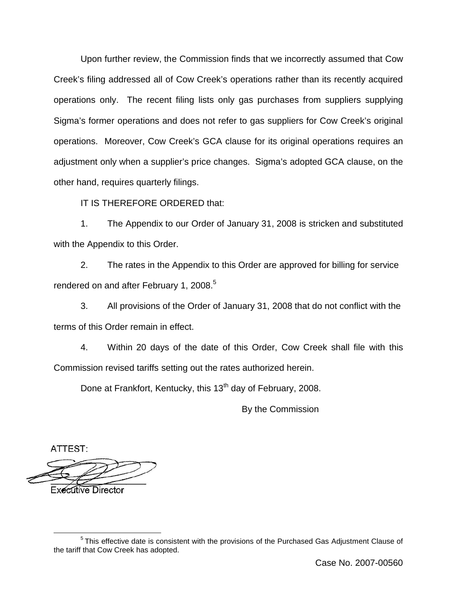Upon further review, the Commission finds that we incorrectly assumed that Cow Creek's filing addressed all of Cow Creek's operations rather than its recently acquired operations only. The recent filing lists only gas purchases from suppliers supplying Sigma's former operations and does not refer to gas suppliers for Cow Creek's original operations. Moreover, Cow Creek's GCA clause for its original operations requires an adjustment only when a supplier's price changes. Sigma's adopted GCA clause, on the other hand, requires quarterly filings.

IT IS THEREFORE ORDERED that:

1. The Appendix to our Order of January 31, 2008 is stricken and substituted with the Appendix to this Order.

2. The rates in the Appendix to this Order are approved for billing for service rendered on and after February 1, 2008.<sup>5</sup>

3. All provisions of the Order of January 31, 2008 that do not conflict with the terms of this Order remain in effect.

4. Within 20 days of the date of this Order, Cow Creek shall file with this Commission revised tariffs setting out the rates authorized herein.

Done at Frankfort, Kentucky, this 13<sup>th</sup> day of February, 2008.

By the Commission

ATTEST:

**Executive Director** 

<sup>&</sup>lt;sup>5</sup> This effective date is consistent with the provisions of the Purchased Gas Adjustment Clause of the tariff that Cow Creek has adopted.